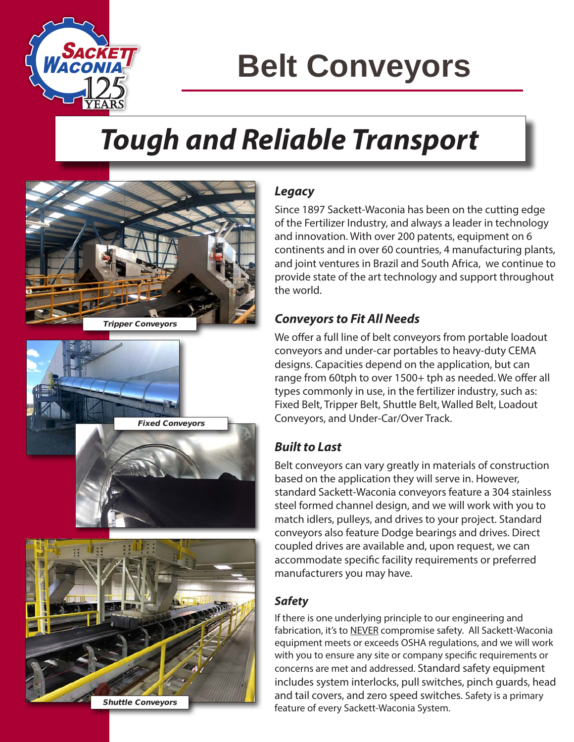

# **Belt Conveyors**

## *Tough and Reliable Transport*



Fixed Conveyors

### *Legacy*

Since 1897 Sackett-Waconia has been on the cutting edge of the Fertilizer Industry, and always a leader in technology and innovation. With over 200 patents, equipment on 6 continents and in over 60 countries, 4 manufacturing plants, and joint ventures in Brazil and South Africa, we continue to provide state of the art technology and support throughout the world.

#### *Conveyors to Fit All Needs*

We offer a full line of belt conveyors from portable loadout conveyors and under-car portables to heavy-duty CEMA designs. Capacities depend on the application, but can range from 60tph to over 1500+ tph as needed. We offer all types commonly in use, in the fertilizer industry, such as: Fixed Belt, Tripper Belt, Shuttle Belt, Walled Belt, Loadout Conveyors, and Under-Car/Over Track.

### *Built to Last*

Belt conveyors can vary greatly in materials of construction based on the application they will serve in. However, standard Sackett-Waconia conveyors feature a 304 stainless steel formed channel design, and we will work with you to match idlers, pulleys, and drives to your project. Standard conveyors also feature Dodge bearings and drives. Direct coupled drives are available and, upon request, we can accommodate specific facility requirements or preferred manufacturers you may have.

### *Safety*

If there is one underlying principle to our engineering and fabrication, it's to NEVER compromise safety. All Sackett-Waconia equipment meets or exceeds OSHA regulations, and we will work with you to ensure any site or company specific requirements or concerns are met and addressed. Standard safety equipment includes system interlocks, pull switches, pinch guards, head and tail covers, and zero speed switches. Safety is a primary feature of every Sackett-Waconia System.